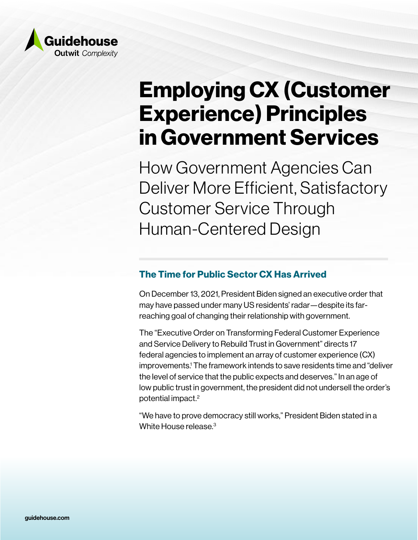

# Employing CX (Customer Experience) Principles in Government Services

How Government Agencies Can Deliver More Efficient, Satisfactory Customer Service Through Human-Centered Design

## The Time for Public Sector CX Has Arrived

On December 13, 2021, President Biden signed an executive order that may have passed under many US residents' radar—despite its farreaching goal of changing their relationship with government.

The "Executive Order on Transforming Federal Customer Experience and Service Delivery to Rebuild Trust in Government" directs 17 federal agencies to implement an array of customer experience (CX) improvements.<sup>1</sup> The framework intends to save residents time and "deliver the level of service that the public expects and deserves." In an age of low public trust in government, the president did not undersell the order's potential impact.2

"We have to prove democracy still works," President Biden stated in a White House release.<sup>3</sup>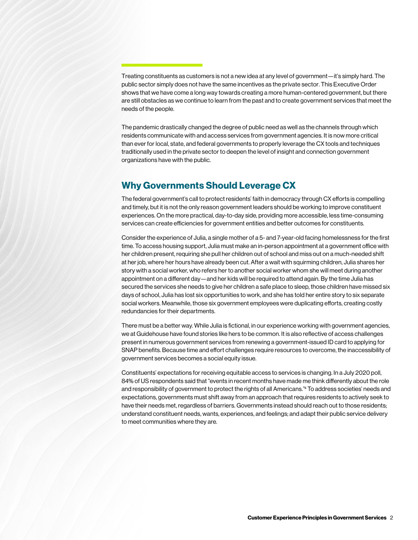Treating constituents as customers is not a new idea at any level of government—it's simply hard. The public sector simply does not have the same incentives as the private sector. This Executive Order shows that we have come a long way towards creating a more human-centered government, but there are still obstacles as we continue to learn from the past and to create government services that meet the needs of the people.

The pandemic drastically changed the degree of public need as well as the channels through which residents communicate with and access services from government agencies. It is now more critical than ever for local, state, and federal governments to properly leverage the CX tools and techniques traditionally used in the private sector to deepen the level of insight and connection government organizations have with the public.

#### Why Governments Should Leverage CX

The federal government's call to protect residents' faith in democracy through CX efforts is compelling and timely, but it is not the only reason government leaders should be working to improve constituent experiences. On the more practical, day-to-day side, providing more accessible, less time-consuming services can create efficiencies for government entities and better outcomes for constituents.

Consider the experience of Julia, a single mother of a 5- and 7-year-old facing homelessness for the first time. To access housing support, Julia must make an in-person appointment at a government office with her children present, requiring she pull her children out of school and miss out on a much-needed shift at her job, where her hours have already been cut. After a wait with squirming children, Julia shares her story with a social worker, who refers her to another social worker whom she will meet during another appointment on a different day—and her kids will be required to attend again. By the time Julia has secured the services she needs to give her children a safe place to sleep, those children have missed six days of school, Julia has lost six opportunities to work, and she has told her entire story to six separate social workers. Meanwhile, those six government employees were duplicating efforts, creating costly redundancies for their departments.

There must be a better way. While Julia is fictional, in our experience working with government agencies, we at Guidehouse have found stories like hers to be common. It is also reflective of access challenges present in numerous government services from renewing a government-issued ID card to applying for SNAP benefits. Because time and effort challenges require resources to overcome, the inaccessibility of government services becomes a social equity issue.

Constituents' expectations for receiving equitable access to services is changing. In a July 2020 poll, 84% of US respondents said that "events in recent months have made me think differently about the role and responsibility of government to protect the rights of all Americans."4 To address societies' needs and expectations, governments must shift away from an approach that requires residents to actively seek to have their needs met, regardless of barriers. Governments instead should reach out to those residents; understand constituent needs, wants, experiences, and feelings; and adapt their public service delivery to meet communities where they are.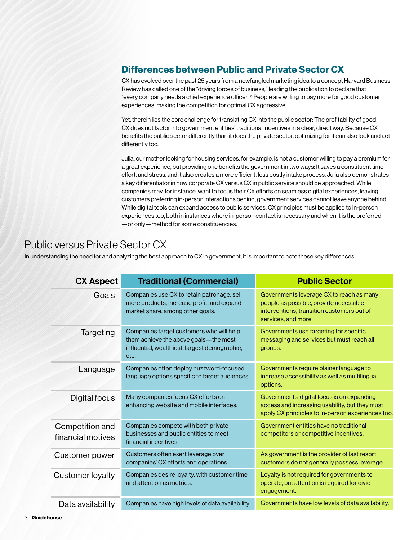## Differences between Public and Private Sector CX

CX has evolved over the past 25 years from a newfangled marketing idea to a concept Harvard Business Review has called one of the "driving forces of business," leading the publication to declare that "every company needs a chief experience officer."5 People are willing to pay more for good customer experiences, making the competition for optimal CX aggressive.

Yet, therein lies the core challenge for translating CX into the public sector: The profitability of good CX does not factor into government entities' traditional incentives in a clear, direct way. Because CX benefits the public sector differently than it does the private sector, optimizing for it can also look and act differently too.

Julia, our mother looking for housing services, for example, is not a customer willing to pay a premium for a great experience, but providing one benefits the government in two ways: It saves a constituent time, effort, and stress, and it also creates a more efficient, less costly intake process. Julia also demonstrates a key differentiator in how corporate CX versus CX in public service should be approached. While companies may, for instance, want to focus their CX efforts on seamless digital experiences, leaving customers preferring in-person interactions behind, government services cannot leave anyone behind. While digital tools can expand access to public services, CX principles must be applied to in-person experiences too, both in instances where in-person contact is necessary and when it is the preferred —or only—method for some constituencies.

# Public versus Private Sector CX

In understanding the need for and analyzing the best approach to CX in government, it is important to note these key differences:

| <b>CX Aspect</b>                     | <b>Traditional (Commercial)</b>                                                                                                              | <b>Public Sector</b>                                                                                                                                    |
|--------------------------------------|----------------------------------------------------------------------------------------------------------------------------------------------|---------------------------------------------------------------------------------------------------------------------------------------------------------|
| Goals                                | Companies use CX to retain patronage, sell<br>more products, increase profit, and expand<br>market share, among other goals.                 | Governments leverage CX to reach as many<br>people as possible, provide accessible<br>interventions, transition customers out of<br>services, and more. |
| Targeting                            | Companies target customers who will help<br>them achieve the above goals - the most<br>influential, wealthiest, largest demographic,<br>etc. | Governments use targeting for specific<br>messaging and services but must reach all<br>groups.                                                          |
| Language                             | Companies often deploy buzzword-focused<br>language options specific to target audiences.                                                    | Governments require plainer language to<br>increase accessibility as well as multilingual<br>options.                                                   |
| Digital focus                        | Many companies focus CX efforts on<br>enhancing website and mobile interfaces.                                                               | Governments' digital focus is on expanding<br>access and increasing usability, but they must<br>apply CX principles to in-person experiences too.       |
| Competition and<br>financial motives | Companies compete with both private<br>businesses and public entities to meet<br>financial incentives.                                       | Government entities have no traditional<br>competitors or competitive incentives.                                                                       |
| Customer power                       | Customers often exert leverage over<br>companies' CX efforts and operations.                                                                 | As government is the provider of last resort,<br>customers do not generally possess leverage.                                                           |
| <b>Customer loyalty</b>              | Companies desire loyalty, with customer time<br>and attention as metrics.                                                                    | Loyalty is not required for governments to<br>operate, but attention is required for civic<br>engagement.                                               |
| Data availability                    | Companies have high levels of data availability.                                                                                             | Governments have low levels of data availability.                                                                                                       |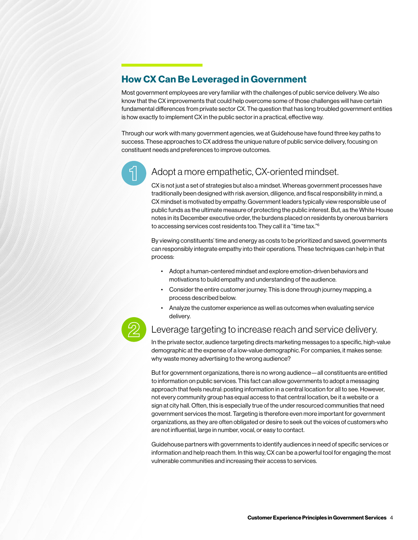## How CX Can Be Leveraged in Government

Most government employees are very familiar with the challenges of public service delivery. We also know that the CX improvements that could help overcome some of those challenges will have certain fundamental differences from private sector CX. The question that has long troubled government entities is how exactly to implement CX in the public sector in a practical, effective way.

Through our work with many government agencies, we at Guidehouse have found three key paths to success. These approaches to CX address the unique nature of public service delivery, focusing on constituent needs and preferences to improve outcomes.



#### Adopt a more empathetic, CX-oriented mindset.

CX is not just a set of strategies but also a mindset. Whereas government processes have traditionally been designed with risk aversion, diligence, and fiscal responsibility in mind, a CX mindset is motivated by empathy. Government leaders typically view responsible use of public funds as the ultimate measure of protecting the public interest. But, as the White House notes in its December executive order, the burdens placed on residents by onerous barriers to accessing services cost residents too. They call it a "time tax."6

By viewing constituents' time and energy as costs to be prioritized and saved, governments can responsibly integrate empathy into their operations. These techniques can help in that process:

- Adopt a human-centered mindset and explore emotion-driven behaviors and motivations to build empathy and understanding of the audience.
- Consider the entire customer journey. This is done through journey mapping, a process described below.
- Analyze the customer experience as well as outcomes when evaluating service delivery.



#### Leverage targeting to increase reach and service delivery.

In the private sector, audience targeting directs marketing messages to a specific, high-value demographic at the expense of a low-value demographic. For companies, it makes sense: why waste money advertising to the wrong audience?

But for government organizations, there is no wrong audience—all constituents are entitled to information on public services. This fact can allow governments to adopt a messaging approach that feels neutral: posting information in a central location for all to see. However, not every community group has equal access to that central location, be it a website or a sign at city hall. Often, this is especially true of the under resourced communities that need government services the most. Targeting is therefore even more important for government organizations, as they are often obligated or desire to seek out the voices of customers who are not influential, large in number, vocal, or easy to contact.

Guidehouse partners with governments to identify audiences in need of specific services or information and help reach them. In this way, CX can be a powerful tool for engaging the most vulnerable communities and increasing their access to services.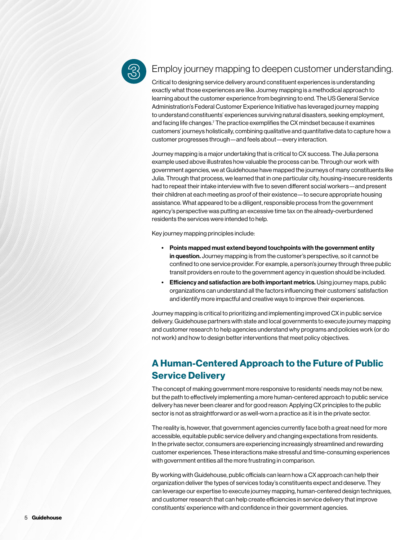

#### Employ journey mapping to deepen customer understanding.

Critical to designing service delivery around constituent experiences is understanding exactly what those experiences are like. Journey mapping is a methodical approach to learning about the customer experience from beginning to end. The US General Service Administration's Federal Customer Experience Initiative has leveraged journey mapping to understand constituents' experiences surviving natural disasters, seeking employment, and facing life changes.<sup>7</sup> The practice exemplifies the CX mindset because it examines customers' journeys holistically, combining qualitative and quantitative data to capture how a customer progresses through—and feels about—every interaction.

Journey mapping is a major undertaking that is critical to CX success. The Julia persona example used above illustrates how valuable the process can be. Through our work with government agencies, we at Guidehouse have mapped the journeys of many constituents like Julia. Through that process, we learned that in one particular city, housing-insecure residents had to repeat their intake interview with five to seven different social workers—and present their children at each meeting as proof of their existence—to secure appropriate housing assistance. What appeared to be a diligent, responsible process from the government agency's perspective was putting an excessive time tax on the already-overburdened residents the services were intended to help.

Key journey mapping principles include:

- Points mapped must extend beyond touchpoints with the government entity in question. Journey mapping is from the customer's perspective, so it cannot be confined to one service provider. For example, a person's journey through three public transit providers en route to the government agency in question should be included.
- Efficiency and satisfaction are both important metrics. Using journey maps, public organizations can understand all the factors influencing their customers' satisfaction and identify more impactful and creative ways to improve their experiences.

Journey mapping is critical to prioritizing and implementing improved CX in public service delivery. Guidehouse partners with state and local governments to execute journey mapping and customer research to help agencies understand why programs and policies work (or do not work) and how to design better interventions that meet policy objectives.

# A Human-Centered Approach to the Future of Public Service Delivery

The concept of making government more responsive to residents' needs may not be new, but the path to effectively implementing a more human-centered approach to public service delivery has never been clearer and for good reason: Applying CX principles to the public sector is not as straightforward or as well-worn a practice as it is in the private sector.

The reality is, however, that government agencies currently face both a great need for more accessible, equitable public service delivery and changing expectations from residents. In the private sector, consumers are experiencing increasingly streamlined and rewarding customer experiences. These interactions make stressful and time-consuming experiences with government entities all the more frustrating in comparison.

By working with Guidehouse, public officials can learn how a CX approach can help their organization deliver the types of services today's constituents expect and deserve. They can leverage our expertise to execute journey mapping, human-centered design techniques, and customer research that can help create efficiencies in service delivery that improve constituents' experience with and confidence in their government agencies.